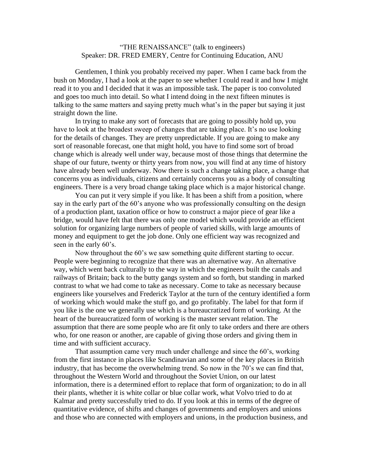## "THE RENAISSANCE" (talk to engineers) Speaker: DR. FRED EMERY, Centre for Continuing Education, ANU

Gentlemen, I think you probably received my paper. When I came back from the bush on Monday, I had a look at the paper to see whether I could read it and how I might read it to you and I decided that it was an impossible task. The paper is too convoluted and goes too much into detail. So what I intend doing in the next fifteen minutes is talking to the same matters and saying pretty much what's in the paper but saying it just straight down the line.

In trying to make any sort of forecasts that are going to possibly hold up, you have to look at the broadest sweep of changes that are taking place. It's no use looking for the details of changes. They are pretty unpredictable. If you are going to make any sort of reasonable forecast, one that might hold, you have to find some sort of broad change which is already well under way, because most of those things that determine the shape of our future, twenty or thirty years from now, you will find at any time of history have already been well underway. Now there is such a change taking place, a change that concerns you as individuals, citizens and certainly concerns you as a body of consulting engineers. There is a very broad change taking place which is a major historical change.

You can put it very simple if you like. It has been a shift from a position, where say in the early part of the 60's anyone who was professionally consulting on the design of a production plant, taxation office or how to construct a major piece of gear like a bridge, would have felt that there was only one model which would provide an efficient solution for organizing large numbers of people of varied skills, with large amounts of money and equipment to get the job done. Only one efficient way was recognized and seen in the early 60's.

Now throughout the 60's we saw something quite different starting to occur. People were beginning to recognize that there was an alternative way. An alternative way, which went back culturally to the way in which the engineers built the canals and railways of Britain; back to the butty gangs system and so forth, but standing in marked contrast to what we had come to take as necessary. Come to take as necessary because engineers like yourselves and Frederick Taylor at the turn of the century identified a form of working which would make the stuff go, and go profitably. The label for that form if you like is the one we generally use which is a bureaucratized form of working. At the heart of the bureaucratized form of working is the master servant relation. The assumption that there are some people who are fit only to take orders and there are others who, for one reason or another, are capable of giving those orders and giving them in time and with sufficient accuracy.

That assumption came very much under challenge and since the 60's, working from the first instance in places like Scandinavian and some of the key places in British industry, that has become the overwhelming trend. So now in the 70's we can find that, throughout the Western World and throughout the Soviet Union, on our latest information, there is a determined effort to replace that form of organization; to do in all their plants, whether it is white collar or blue collar work, what Volvo tried to do at Kalmar and pretty successfully tried to do. If you look at this in terms of the degree of quantitative evidence, of shifts and changes of governments and employers and unions and those who are connected with employers and unions, in the production business, and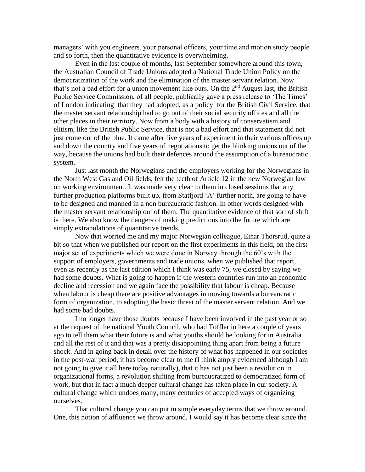managers' with you engineers, your personal officers, your time and motion study people and so forth, then the quantitative evidence is overwhelming.

Even in the last couple of months, last September somewhere around this town, the Australian Council of Trade Unions adopted a National Trade Union Policy on the democratization of the work and the elimination of the master servant relation. Now that's not a bad effort for a union movement like ours. On the  $2<sup>nd</sup>$  August last, the British Public Service Commission, of all people, publically gave a press release to 'The Times' of London indicating that they had adopted, as a policy for the British Civil Service, that the master servant relationship had to go out of their social security offices and all the other places in their territory. Now from a body with a history of conservatism and elitism, like the British Public Service, that is not a bad effort and that statement did not just come out of the blue. It came after five years of experiment in their various offices up and down the country and five years of negotiations to get the blinking unions out of the way, because the unions had built their defences around the assumption of a bureaucratic system.

Just last month the Norwegians and the employers working for the Norwegians in the North West Gas and Oil fields, felt the teeth of Article 12 in the new Norwegian law on working environment. It was made very clear to them in closed sessions that any further production platforms built up, from Statfjord 'A' further north, are going to have to be designed and manned in a non bureaucratic fashion. In other words designed with the master servant relationship out of them. The quantitative evidence of that sort of shift is there. We also know the dangers of making predictions into the future which are simply extrapolations of quantitative trends.

Now that worried me and my major Norwegian colleague, Einar Thorsrud, quite a bit so that when we published our report on the first experiments in this field, on the first major set of experiments which we were done in Norway through the 60's with the support of employers, governments and trade unions, when we published that report, even as recently as the last edition which I think was early 75, we closed by saying we had some doubts. What is going to happen if the western countries run into an economic decline and recession and we again face the possibility that labour is cheap. Because when labour is cheap there are positive advantages in moving towards a bureaucratic form of organization, to adopting the basic threat of the master servant relation. And we had some bad doubts.

I no longer have those doubts because I have been involved in the past year or so at the request of the national Youth Council, who had Toffler in here a couple of years ago to tell them what their future is and what youths should be looking for in Australia and all the rest of it and that was a pretty disappointing thing apart from being a future shock. And in going back in detail over the history of what has happened in our societies in the post-war period, it has become clear to me (I think amply evidenced although I am not going to give it all here today naturally), that it has not just been a revolution in organizational forms, a revolution shifting from bureaucratized to democratized form of work, but that in fact a much deeper cultural change has taken place in our society. A cultural change which undoes many, many centuries of accepted ways of organizing ourselves.

That cultural change you can put in simple everyday terms that we throw around. One, this notion of affluence we throw around. I would say it has become clear since the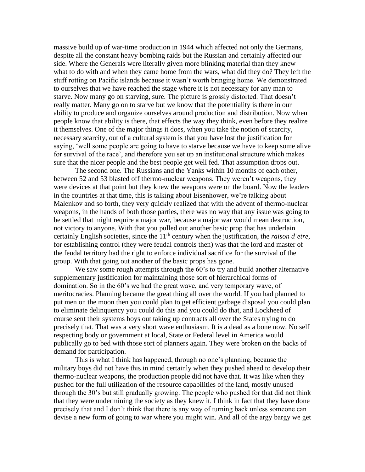massive build up of war-time production in 1944 which affected not only the Germans, despite all the constant heavy bombing raids but the Russian and certainly affected our side. Where the Generals were literally given more blinking material than they knew what to do with and when they came home from the wars, what did they do? They left the stuff rotting on Pacific islands because it wasn't worth bringing home. We demonstrated to ourselves that we have reached the stage where it is not necessary for any man to starve. Now many go on starving, sure. The picture is grossly distorted. That doesn't really matter. Many go on to starve but we know that the potentiality is there in our ability to produce and organize ourselves around production and distribution. Now when people know that ability is there, that effects the way they think, even before they realize it themselves. One of the major things it does, when you take the notion of scarcity, necessary scarcity, out of a cultural system is that you have lost the justification for saying, 'well some people are going to have to starve because we have to keep some alive for survival of the race', and therefore you set up an institutional structure which makes sure that the nicer people and the best people get well fed. That assumption drops out.

The second one. The Russians and the Yanks within 10 months of each other, between 52 and 53 blasted off thermo-nuclear weapons. They weren't weapons, they were devices at that point but they knew the weapons were on the board. Now the leaders in the countries at that time, this is talking about Eisenhower, we're talking about Malenkov and so forth, they very quickly realized that with the advent of thermo-nuclear weapons, in the hands of both those parties, there was no way that any issue was going to be settled that might require a major war, because a major war would mean destruction, not victory to anyone. With that you pulled out another basic prop that has underlain certainly English societies, since the 11<sup>th</sup> century when the justification, the *raison d'etre*, for establishing control (they were feudal controls then) was that the lord and master of the feudal territory had the right to enforce individual sacrifice for the survival of the group. With that going out another of the basic props has gone.

We saw some rough attempts through the 60's to try and build another alternative supplementary justification for maintaining those sort of hierarchical forms of domination. So in the 60's we had the great wave, and very temporary wave, of meritocracies. Planning became the great thing all over the world. If you had planned to put men on the moon then you could plan to get efficient garbage disposal you could plan to eliminate delinquency you could do this and you could do that, and Lockheed of course sent their systems boys out taking up contracts all over the States trying to do precisely that. That was a very short wave enthusiasm. It is a dead as a bone now. No self respecting body or government at local, State or Federal level in America would publically go to bed with those sort of planners again. They were broken on the backs of demand for participation.

This is what I think has happened, through no one's planning, because the military boys did not have this in mind certainly when they pushed ahead to develop their thermo-nuclear weapons, the production people did not have that. It was like when they pushed for the full utilization of the resource capabilities of the land, mostly unused through the 30's but still gradually growing. The people who pushed for that did not think that they were undermining the society as they knew it. I think in fact that they have done precisely that and I don't think that there is any way of turning back unless someone can devise a new form of going to war where you might win. And all of the argy bargy we get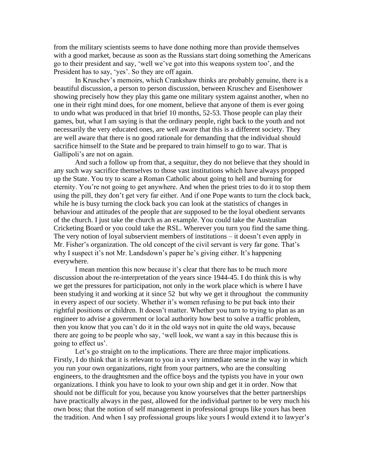from the military scientists seems to have done nothing more than provide themselves with a good market, because as soon as the Russians start doing something the Americans go to their president and say, 'well we've got into this weapons system too', and the President has to say, 'yes'. So they are off again.

In Kruschev's memoirs, which Crankshaw thinks are probably genuine, there is a beautiful discussion, a person to person discussion, between Kruschev and Eisenhower showing precisely how they play this game one military system against another, when no one in their right mind does, for one moment, believe that anyone of them is ever going to undo what was produced in that brief 10 months, 52-53. Those people can play their games, but, what I am saying is that the ordinary people, right back to the youth and not necessarily the very educated ones, are well aware that this is a different society. They are well aware that there is no good rationale for demanding that the individual should sacrifice himself to the State and be prepared to train himself to go to war. That is Gallipoli's are not on again.

And such a follow up from that, a sequitur, they do not believe that they should in any such way sacrifice themselves to those vast institutions which have always propped up the State. You try to scare a Roman Catholic about going to hell and burning for eternity. You're not going to get anywhere. And when the priest tries to do it to stop them using the pill, they don't get very far either. And if one Pope wants to turn the clock back, while he is busy turning the clock back you can look at the statistics of changes in behaviour and attitudes of the people that are supposed to be the loyal obedient servants of the church. I just take the church as an example. You could take the Australian Cricketing Board or you could take the RSL. Wherever you turn you find the same thing. The very notion of loyal subservient members of institutions – it doesn't even apply in Mr. Fisher's organization. The old concept of the civil servant is very far gone. That's why I suspect it's not Mr. Landsdown's paper he's giving either. It's happening everywhere.

I mean mention this now because it's clear that there has to be much more discussion about the re-interpretation of the years since 1944-45. I do think this is why we get the pressures for participation, not only in the work place which is where I have been studying it and working at it since 52 but why we get it throughout the community in every aspect of our society. Whether it's women refusing to be put back into their rightful positions or children. It doesn't matter. Whether you turn to trying to plan as an engineer to advise a government or local authority how best to solve a traffic problem, then you know that you can't do it in the old ways not in quite the old ways, because there are going to be people who say, 'well look, we want a say in this because this is going to effect us'.

Let's go straight on to the implications. There are three major implications. Firstly, I do think that it is relevant to you in a very immediate sense in the way in which you run your own organizations, right from your partners, who are the consulting engineers, to the draughtsmen and the office boys and the typists you have in your own organizations. I think you have to look to your own ship and get it in order. Now that should not be difficult for you, because you know yourselves that the better partnerships have practically always in the past, allowed for the individual partner to be very much his own boss; that the notion of self management in professional groups like yours has been the tradition. And when I say professional groups like yours I would extend it to lawyer's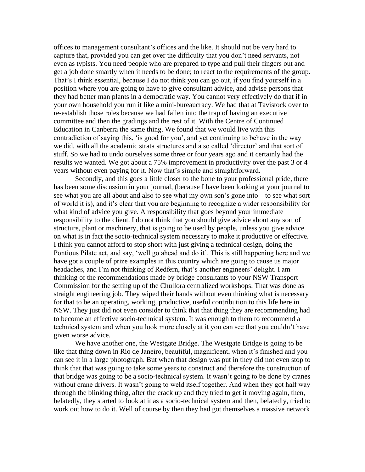offices to management consultant's offices and the like. It should not be very hard to capture that, provided you can get over the difficulty that you don't need servants, not even as typists. You need people who are prepared to type and pull their fingers out and get a job done smartly when it needs to be done; to react to the requirements of the group. That's I think essential, because I do not think you can go out, if you find yourself in a position where you are going to have to give consultant advice, and advise persons that they had better man plants in a democratic way. You cannot very effectively do that if in your own household you run it like a mini-bureaucracy. We had that at Tavistock over to re-establish those roles because we had fallen into the trap of having an executive committee and then the gradings and the rest of it. With the Centre of Continued Education in Canberra the same thing. We found that we would live with this contradiction of saying this, 'is good for you', and yet continuing to behave in the way we did, with all the academic strata structures and a so called 'director' and that sort of stuff. So we had to undo ourselves some three or four years ago and it certainly had the results we wanted. We got about a 75% improvement in productivity over the past 3 or 4 years without even paying for it. Now that's simple and straightforward.

Secondly, and this goes a little closer to the bone to your professional pride, there has been some discussion in your journal, (because I have been looking at your journal to see what you are all about and also to see what my own son's gone into – to see what sort of world it is), and it's clear that you are beginning to recognize a wider responsibility for what kind of advice you give. A responsibility that goes beyond your immediate responsibility to the client. I do not think that you should give advice about any sort of structure, plant or machinery, that is going to be used by people, unless you give advice on what is in fact the socio-technical system necessary to make it productive or effective. I think you cannot afford to stop short with just giving a technical design, doing the Pontious Pilate act, and say, 'well go ahead and do it'. This is still happening here and we have got a couple of prize examples in this country which are going to cause us major headaches, and I'm not thinking of Redfern, that's another engineers' delight. I am thinking of the recommendations made by bridge consultants to your NSW Transport Commission for the setting up of the Chullora centralized workshops. That was done as straight engineering job. They wiped their hands without even thinking what is necessary for that to be an operating, working, productive, useful contribution to this life here in NSW. They just did not even consider to think that that thing they are recommending had to become an effective socio-technical system. It was enough to them to recommend a technical system and when you look more closely at it you can see that you couldn't have given worse advice.

We have another one, the Westgate Bridge. The Westgate Bridge is going to be like that thing down in Rio de Janeiro, beautiful, magnificent, when it's finished and you can see it in a large photograph. But when that design was put in they did not even stop to think that that was going to take some years to construct and therefore the construction of that bridge was going to be a socio-technical system. It wasn't going to be done by cranes without crane drivers. It wasn't going to weld itself together. And when they got half way through the blinking thing, after the crack up and they tried to get it moving again, then, belatedly, they started to look at it as a socio-technical system and then, belatedly, tried to work out how to do it. Well of course by then they had got themselves a massive network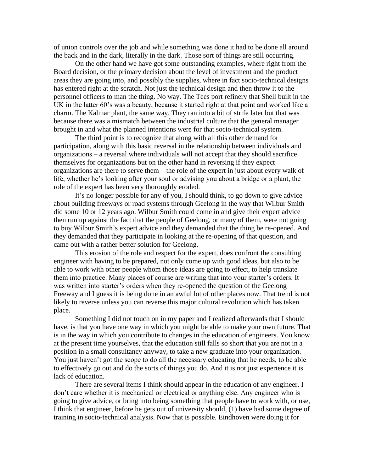of union controls over the job and while something was done it had to be done all around the back and in the dark, literally in the dark. Those sort of things are still occurring.

On the other hand we have got some outstanding examples, where right from the Board decision, or the primary decision about the level of investment and the product areas they are going into, and possibly the supplies, where in fact socio-technical designs has entered right at the scratch. Not just the technical design and then throw it to the personnel officers to man the thing. No way. The Tees port refinery that Shell built in the UK in the latter 60's was a beauty, because it started right at that point and worked like a charm. The Kalmar plant, the same way. They ran into a bit of strife later but that was because there was a mismatch between the industrial culture that the general manager brought in and what the planned intentions were for that socio-technical system.

The third point is to recognize that along with all this other demand for participation, along with this basic reversal in the relationship between individuals and organizations – a reversal where individuals will not accept that they should sacrifice themselves for organizations but on the other hand in reversing if they expect organizations are there to serve them – the role of the expert in just about every walk of life, whether he's looking after your soul or advising you about a bridge or a plant, the role of the expert has been very thoroughly eroded.

It's no longer possible for any of you, I should think, to go down to give advice about building freeways or road systems through Geelong in the way that Wilbur Smith did some 10 or 12 years ago. Wilbur Smith could come in and give their expert advice then run up against the fact that the people of Geelong, or many of them, were not going to buy Wilbur Smith's expert advice and they demanded that the thing be re-opened. And they demanded that they participate in looking at the re-opening of that question, and came out with a rather better solution for Geelong.

This erosion of the role and respect for the expert, does confront the consulting engineer with having to be prepared, not only come up with good ideas, but also to be able to work with other people whom those ideas are going to effect, to help translate them into practice. Many places of course are writing that into your starter's orders. It was written into starter's orders when they re-opened the question of the Geelong Freeway and I guess it is being done in an awful lot of other places now. That trend is not likely to reverse unless you can reverse this major cultural revolution which has taken place.

Something I did not touch on in my paper and I realized afterwards that I should have, is that you have one way in which you might be able to make your own future. That is in the way in which you contribute to changes in the education of engineers. You know at the present time yourselves, that the education still falls so short that you are not in a position in a small consultancy anyway, to take a new graduate into your organization. You just haven't got the scope to do all the necessary educating that he needs, to be able to effectively go out and do the sorts of things you do. And it is not just experience it is lack of education.

There are several items I think should appear in the education of any engineer. I don't care whether it is mechanical or electrical or anything else. Any engineer who is going to give advice, or bring into being something that people have to work with, or use, I think that engineer, before he gets out of university should, (1) have had some degree of training in socio-technical analysis. Now that is possible. Eindhoven were doing it for